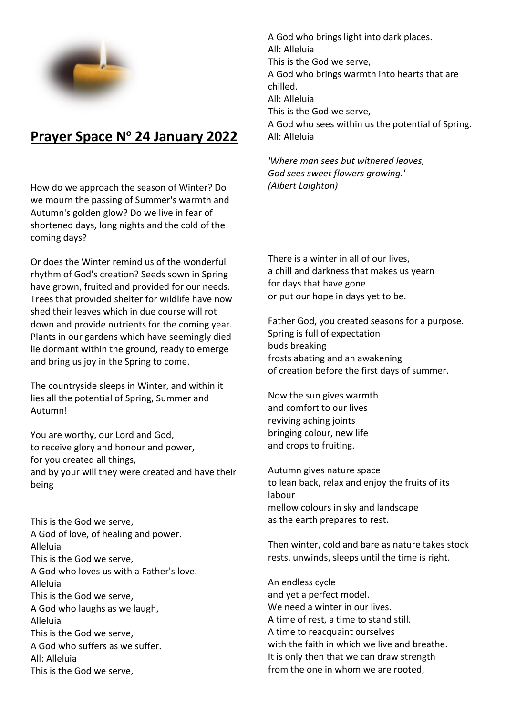

## **Prayer Space N<sup>o</sup> 24 January 2022**

How do we approach the season of Winter? Do we mourn the passing of Summer's warmth and Autumn's golden glow? Do we live in fear of shortened days, long nights and the cold of the coming days?

Or does the Winter remind us of the wonderful rhythm of God's creation? Seeds sown in Spring have grown, fruited and provided for our needs. Trees that provided shelter for wildlife have now shed their leaves which in due course will rot down and provide nutrients for the coming year. Plants in our gardens which have seemingly died lie dormant within the ground, ready to emerge and bring us joy in the Spring to come.

The countryside sleeps in Winter, and within it lies all the potential of Spring, Summer and Autumn!

You are worthy, our Lord and God, to receive glory and honour and power, for you created all things, and by your will they were created and have their being

This is the God we serve, A God of love, of healing and power. Alleluia This is the God we serve, A God who loves us with a Father's love. Alleluia This is the God we serve, A God who laughs as we laugh, Alleluia This is the God we serve, A God who suffers as we suffer. All: Alleluia This is the God we serve,

A God who brings light into dark places. All: Alleluia This is the God we serve, A God who brings warmth into hearts that are chilled. All: Alleluia This is the God we serve, A God who sees within us the potential of Spring. All: Alleluia

*'Where man sees but withered leaves, God sees sweet flowers growing.' (Albert Laighton)*

There is a winter in all of our lives, a chill and darkness that makes us yearn for days that have gone or put our hope in days yet to be.

Father God, you created seasons for a purpose. Spring is full of expectation buds breaking frosts abating and an awakening of creation before the first days of summer.

Now the sun gives warmth and comfort to our lives reviving aching joints bringing colour, new life and crops to fruiting.

Autumn gives nature space to lean back, relax and enjoy the fruits of its labour mellow colours in sky and landscape as the earth prepares to rest.

Then winter, cold and bare as nature takes stock rests, unwinds, sleeps until the time is right.

An endless cycle and yet a perfect model. We need a winter in our lives. A time of rest, a time to stand still. A time to reacquaint ourselves with the faith in which we live and breathe. It is only then that we can draw strength from the one in whom we are rooted,